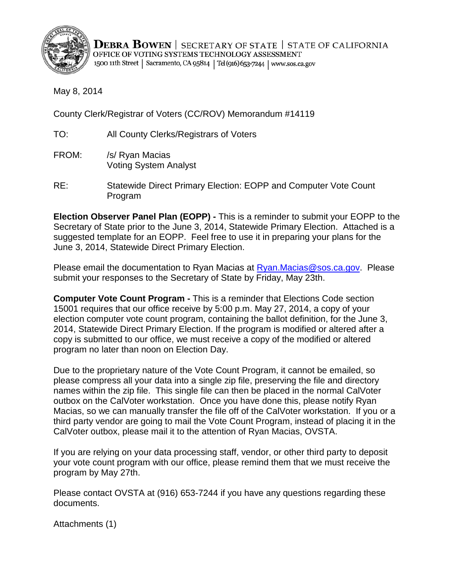

**DEBRA BOWEN** SECRETARY OF STATE STATE OF CALIFORNIA OFFICE OF VOTING SYSTEMS TECHNOLOGY ASSESSMENT 1500 11th Street | Sacramento, CA 95814 | Tel (916) 653-7244 | www.sos.ca.gov

May 8, 2014

County Clerk/Registrar of Voters (CC/ROV) Memorandum #14119

TO: All County Clerks/Registrars of Voters

- FROM: /s/ Ryan Macias Voting System Analyst
- RE: Statewide Direct Primary Election: EOPP and Computer Vote Count Program

 Secretary of State prior to the June 3, 2014, Statewide Primary Election. Attached is a **Election Observer Panel Plan (EOPP) -** This is a reminder to submit your EOPP to the suggested template for an EOPP. Feel free to use it in preparing your plans for the June 3, 2014, Statewide Direct Primary Election.

Please email the documentation to Ryan Macias at [Ryan.Macias@sos.ca.gov.](mailto:Ryan.Macias@sos.ca.gov) Please submit your responses to the Secretary of State by Friday, May 23th.

 **Computer Vote Count Program -** This is a reminder that Elections Code section 15001 requires that our office receive by 5:00 p.m. May 27, 2014, a copy of your 2014, Statewide Direct Primary Election. If the program is modified or altered after a election computer vote count program, containing the ballot definition, for the June 3, copy is submitted to our office, we must receive a copy of the modified or altered program no later than noon on Election Day.

 names within the zip file. This single file can then be placed in the normal CalVoter Due to the proprietary nature of the Vote Count Program, it cannot be emailed, so please compress all your data into a single zip file, preserving the file and directory outbox on the CalVoter workstation. Once you have done this, please notify Ryan Macias, so we can manually transfer the file off of the CalVoter workstation. If you or a third party vendor are going to mail the Vote Count Program, instead of placing it in the CalVoter outbox, please mail it to the attention of Ryan Macias, OVSTA.

program by May 27th. If you are relying on your data processing staff, vendor, or other third party to deposit your vote count program with our office, please remind them that we must receive the

Please contact OVSTA at (916) 653-7244 if you have any questions regarding these documents.

Attachments (1)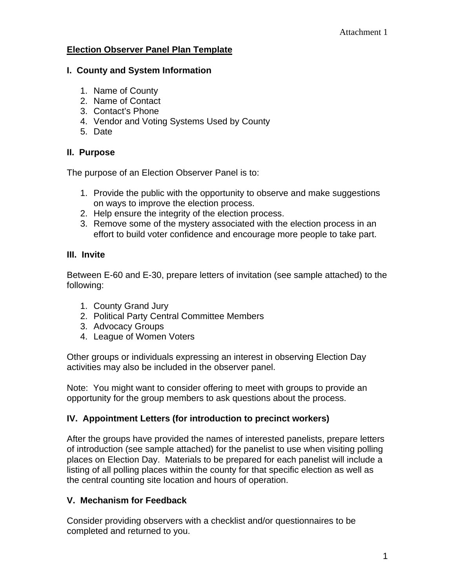#### **Election Observer Panel Plan Template**

#### **I. County and System Information**

- 1. Name of County
- 2. Name of Contact
- 3. Contact's Phone
- 4. Vendor and Voting Systems Used by County
- 5. Date

### **II. Purpose**

The purpose of an Election Observer Panel is to:

- 1. Provide the public with the opportunity to observe and make suggestions on ways to improve the election process.
- 2. Help ensure the integrity of the election process.
- 3. Remove some of the mystery associated with the election process in an effort to build voter confidence and encourage more people to take part.

## **III. Invite**

Between E-60 and E-30, prepare letters of invitation (see sample attached) to the following:

- 1. County Grand Jury
- 2. Political Party Central Committee Members
- 3. Advocacy Groups
- 4. League of Women Voters

Other groups or individuals expressing an interest in observing Election Day activities may also be included in the observer panel.

Note: You might want to consider offering to meet with groups to provide an opportunity for the group members to ask questions about the process.

## **IV. Appointment Letters (for introduction to precinct workers)**

After the groups have provided the names of interested panelists, prepare letters of introduction (see sample attached) for the panelist to use when visiting polling places on Election Day. Materials to be prepared for each panelist will include a listing of all polling places within the county for that specific election as well as the central counting site location and hours of operation.

## **V. Mechanism for Feedback**

Consider providing observers with a checklist and/or questionnaires to be completed and returned to you.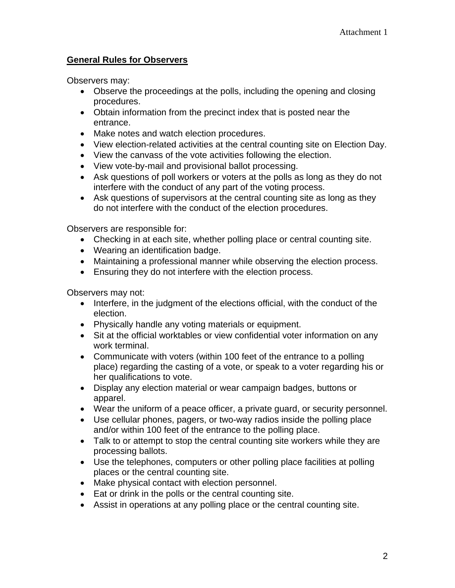### **General Rules for Observers**

Observers may:

- Observe the proceedings at the polls, including the opening and closing procedures.
- Obtain information from the precinct index that is posted near the entrance.
- Make notes and watch election procedures.
- View election-related activities at the central counting site on Election Day.
- View the canvass of the vote activities following the election.
- View vote-by-mail and provisional ballot processing.
- Ask questions of poll workers or voters at the polls as long as they do not interfere with the conduct of any part of the voting process.
- Ask questions of supervisors at the central counting site as long as they do not interfere with the conduct of the election procedures.

Observers are responsible for:

- Checking in at each site, whether polling place or central counting site.
- Wearing an identification badge.
- Maintaining a professional manner while observing the election process.
- Ensuring they do not interfere with the election process.

Observers may not:

- Interfere, in the judgment of the elections official, with the conduct of the election.
- Physically handle any voting materials or equipment.
- Sit at the official worktables or view confidential voter information on any work terminal.
- Communicate with voters (within 100 feet of the entrance to a polling place) regarding the casting of a vote, or speak to a voter regarding his or her qualifications to vote.
- Display any election material or wear campaign badges, buttons or apparel.
- Wear the uniform of a peace officer, a private quard, or security personnel.
- Use cellular phones, pagers, or two-way radios inside the polling place and/or within 100 feet of the entrance to the polling place.
- Talk to or attempt to stop the central counting site workers while they are processing ballots.
- Use the telephones, computers or other polling place facilities at polling places or the central counting site.
- Make physical contact with election personnel.
- Eat or drink in the polls or the central counting site.
- Assist in operations at any polling place or the central counting site.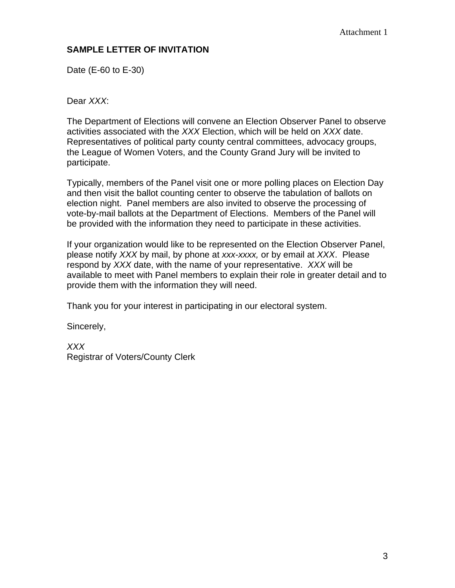# **SAMPLE LETTER OF INVITATION**

Date (E-60 to E-30)

Dear *XXX*:

The Department of Elections will convene an Election Observer Panel to observe activities associated with the *XXX* Election, which will be held on *XXX* date. Representatives of political party county central committees, advocacy groups, the League of Women Voters, and the County Grand Jury will be invited to participate.

Typically, members of the Panel visit one or more polling places on Election Day and then visit the ballot counting center to observe the tabulation of ballots on election night. Panel members are also invited to observe the processing of vote-by-mail ballots at the Department of Elections. Members of the Panel will be provided with the information they need to participate in these activities.

If your organization would like to be represented on the Election Observer Panel, please notify *XXX* by mail, by phone at *xxx-xxxx,* or by email at *XXX*. Please respond by *XXX* date, with the name of your representative. *XXX* will be available to meet with Panel members to explain their role in greater detail and to provide them with the information they will need.

Thank you for your interest in participating in our electoral system.

Sincerely,

*XXX*  Registrar of Voters/County Clerk